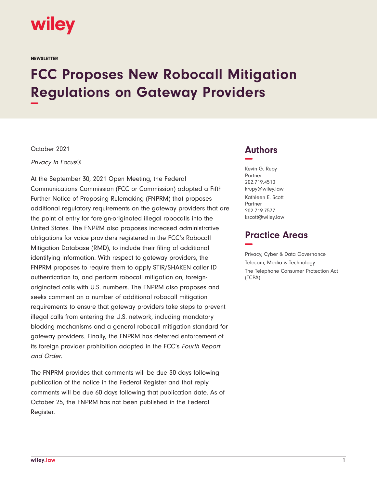

**NEWSLETTER** 

# **FCC Proposes New Robocall Mitigation Regulations on Gateway Providers −**

October 2021

Privacy In Focus®

At the September 30, 2021 Open Meeting, the Federal Communications Commission (FCC or Commission) adopted a Fifth Further Notice of Proposing Rulemaking (FNPRM) that proposes additional regulatory requirements on the gateway providers that are the point of entry for foreign-originated illegal robocalls into the United States. The FNPRM also proposes increased administrative obligations for voice providers registered in the FCC's Robocall Mitigation Database (RMD), to include their filing of additional identifying information. With respect to gateway providers, the FNPRM proposes to require them to apply STIR/SHAKEN caller ID authentication to, and perform robocall mitigation on, foreignoriginated calls with U.S. numbers. The FNPRM also proposes and seeks comment on a number of additional robocall mitigation requirements to ensure that gateway providers take steps to prevent illegal calls from entering the U.S. network, including mandatory blocking mechanisms and a general robocall mitigation standard for gateway providers. Finally, the FNPRM has deferred enforcement of its foreign provider prohibition adopted in the FCC's Fourth Report and Order.

The FNPRM provides that comments will be due 30 days following publication of the notice in the Federal Register and that reply comments will be due 60 days following that publication date. As of October 25, the FNPRM has not been published in the Federal Register.

# **Authors −**

Kevin G. Rupy Partner 202.719.4510 krupy@wiley.law Kathleen E. Scott Partner 202.719.7577 kscott@wiley.law

# **Practice Areas −**

Privacy, Cyber & Data Governance Telecom, Media & Technology The Telephone Consumer Protection Act (TCPA)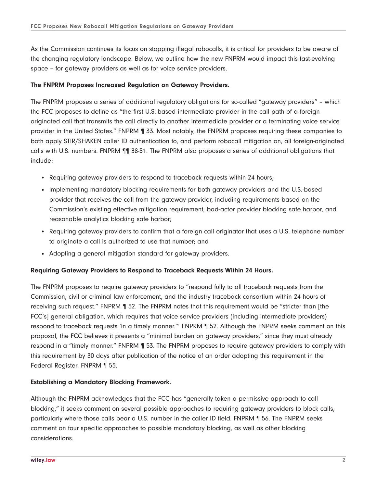As the Commission continues its focus on stopping illegal robocalls, it is critical for providers to be aware of the changing regulatory landscape. Below, we outline how the new FNPRM would impact this fast-evolving space – for gateway providers as well as for voice service providers.

#### **The FNPRM Proposes Increased Regulation on Gateway Providers.**

The FNPRM proposes a series of additional regulatory obligations for so-called "gateway providers" – which the FCC proposes to define as "the first U.S.-based intermediate provider in the call path of a foreignoriginated call that transmits the call directly to another intermediate provider or a terminating voice service provider in the United States." FNPRM ¶ 33. Most notably, the FNPRM proposes requiring these companies to both apply STIR/SHAKEN caller ID authentication to, and perform robocall mitigation on, all foreign-originated calls with U.S. numbers. FNPRM ¶¶ 38-51. The FNPRM also proposes a series of additional obligations that include:

- Requiring gateway providers to respond to traceback requests within 24 hours;
- Implementing mandatory blocking requirements for both gateway providers and the U.S.-based provider that receives the call from the gateway provider, including requirements based on the Commission's existing effective mitigation requirement, bad-actor provider blocking safe harbor, and reasonable analytics blocking safe harbor;
- Requiring gateway providers to confirm that a foreign call originator that uses a U.S. telephone number to originate a call is authorized to use that number; and
- Adopting a general mitigation standard for gateway providers.

## **Requiring Gateway Providers to Respond to Traceback Requests Within 24 Hours.**

The FNPRM proposes to require gateway providers to "respond fully to all traceback requests from the Commission, civil or criminal law enforcement, and the industry traceback consortium within 24 hours of receiving such request." FNPRM 1 52. The FNPRM notes that this requirement would be "stricter than [the FCC's] general obligation, which requires that voice service providers (including intermediate providers) respond to traceback requests 'in a timely manner.'" FNPRM ¶ 52. Although the FNPRM seeks comment on this proposal, the FCC believes it presents a "minimal burden on gateway providers," since they must already respond in a "timely manner." FNPRM ¶ 53. The FNPRM proposes to require gateway providers to comply with this requirement by 30 days after publication of the notice of an order adopting this requirement in the Federal Register. FNPRM ¶ 55.

## **Establishing a Mandatory Blocking Framework.**

Although the FNPRM acknowledges that the FCC has "generally taken a permissive approach to call blocking," it seeks comment on several possible approaches to requiring gateway providers to block calls, particularly where those calls bear a U.S. number in the caller ID field. FNPRM 1 56. The FNPRM seeks comment on four specific approaches to possible mandatory blocking, as well as other blocking considerations.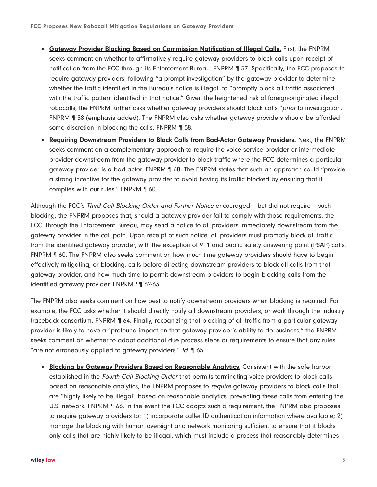- **Gateway Provider Blocking Based on Commission Notification of Illegal Calls.** First, the FNPRM seeks comment on whether to affirmatively require gateway providers to block calls upon receipt of notification from the FCC through its Enforcement Bureau. FNPRM ¶ 57. Specifically, the FCC proposes to require gateway providers, following "a prompt investigation" by the gateway provider to determine whether the traffic identified in the Bureau's notice is illegal, to "promptly block all traffic associated with the traffic pattern identified in that notice." Given the heightened risk of foreign-originated illegal robocalls, the FNPRM further asks whether gateway providers should block calls "prior to investigation." FNPRM ¶ 58 (emphasis added). The FNPRM also asks whether gateway providers should be afforded some discretion in blocking the calls. FNPRM ¶ 58.
- **Requiring Downstream Providers to Block Calls from Bad-Actor Gateway Providers.** Next, the FNPRM seeks comment on a complementary approach to require the voice service provider or intermediate provider downstream from the gateway provider to block traffic where the FCC determines a particular gateway provider is a bad actor. FNPRM ¶ 60. The FNPRM states that such an approach could "provide a strong incentive for the gateway provider to avoid having its traffic blocked by ensuring that it complies with our rules." FNPRM ¶ 60.

Although the FCC's Third Call Blocking Order and Further Notice encouraged - but did not require - such blocking, the FNPRM proposes that, should a gateway provider fail to comply with those requirements, the FCC, through the Enforcement Bureau, may send a notice to all providers immediately downstream from the gateway provider in the call path. Upon receipt of such notice, all providers must promptly block all traffic from the identified gateway provider, with the exception of 911 and public safety answering point (PSAP) calls. FNPRM  $\parallel$  60. The FNPRM also seeks comment on how much time gateway providers should have to begin effectively mitigating, or blocking, calls before directing downstream providers to block all calls from that gateway provider, and how much time to permit downstream providers to begin blocking calls from the identified gateway provider. FNPRM ¶¶ 62-63.

The FNPRM also seeks comment on how best to notify downstream providers when blocking is required. For example, the FCC asks whether it should directly notify all downstream providers, or work through the industry traceback consortium. FNPRM ¶ 64. Finally, recognizing that blocking of all traffic from a particular gateway provider is likely to have a "profound impact on that gateway provider's ability to do business," the FNPRM seeks comment on whether to adopt additional due process steps or requirements to ensure that any rules "are not erroneously applied to gateway providers." Id. ¶ 65.

**• Blocking by Gateway Providers Based on Reasonable Analytics**. Consistent with the safe harbor established in the Fourth Call Blocking Order that permits terminating voice providers to block calls based on reasonable analytics, the FNPRM proposes to require gateway providers to block calls that are "highly likely to be illegal" based on reasonable analytics, preventing these calls from entering the U.S. network. FNPRM  $\parallel$  66. In the event the FCC adopts such a requirement, the FNPRM also proposes to require gateway providers to: 1) incorporate caller ID authentication information where available; 2) manage the blocking with human oversight and network monitoring sufficient to ensure that it blocks only calls that are highly likely to be illegal, which must include a process that reasonably determines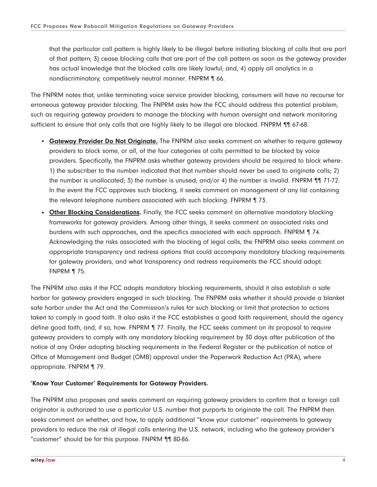that the particular call pattern is highly likely to be illegal before initiating blocking of calls that are part of that pattern; 3) cease blocking calls that are part of the call pattern as soon as the gateway provider has actual knowledge that the blocked calls are likely lawful; and, 4) apply all analytics in a nondiscriminatory, competitively neutral manner. FNPRM ¶ 66.

The FNPRM notes that, unlike terminating voice service provider blocking, consumers will have no recourse for erroneous gateway provider blocking. The FNPRM asks how the FCC should address this potential problem, such as requiring gateway providers to manage the blocking with human oversight and network monitoring sufficient to ensure that only calls that are highly likely to be illegal are blocked. FNPRM ¶¶ 67-68.

- **Gateway Provider Do Not Originate.** The FNPRM also seeks comment on whether to require gateway providers to block some, or all, of the four categories of calls permitted to be blocked by voice providers. Specifically, the FNPRM asks whether gateway providers should be required to block where: 1) the subscriber to the number indicated that that number should never be used to originate calls; 2) the number is unallocated; 3) the number is unused; and/or 4) the number is invalid. FNPRM ¶¶ 71-72. In the event the FCC approves such blocking, it seeks comment on management of any list containing the relevant telephone numbers associated with such blocking. FNPRM ¶ 73.
- **Other Blocking Considerations.** Finally, the FCC seeks comment on alternative mandatory blocking frameworks for gateway providers. Among other things, it seeks comment on associated risks and burdens with such approaches, and the specifics associated with each approach. FNPRM ¶ 74. Acknowledging the risks associated with the blocking of legal calls, the FNPRM also seeks comment on appropriate transparency and redress options that could accompany mandatory blocking requirements for gateway providers, and what transparency and redress requirements the FCC should adopt. FNPRM ¶ 75.

The FNPRM also asks if the FCC adopts mandatory blocking requirements, should it also establish a safe harbor for gateway providers engaged in such blocking. The FNPRM asks whether it should provide a blanket safe harbor under the Act and the Commission's rules for such blocking or limit that protection to actions taken to comply in good faith. It also asks if the FCC establishes a good faith requirement, should the agency define good faith, and, if so, how. FNPRM ¶ 77. Finally, the FCC seeks comment on its proposal to require gateway providers to comply with any mandatory blocking requirement by 30 days after publication of the notice of any Order adopting blocking requirements in the Federal Register or the publication of notice of Office of Management and Budget (OMB) approval under the Paperwork Reduction Act (PRA), where appropriate. FNPRM ¶ 79.

## **'Know Your Customer' Requirements for Gateway Providers.**

The FNPRM also proposes and seeks comment on requiring gateway providers to confirm that a foreign call originator is authorized to use a particular U.S. number that purports to originate the call. The FNPRM then seeks comment on whether, and how, to apply additional "know your customer" requirements to gateway providers to reduce the risk of illegal calls entering the U.S. network, including who the gateway provider's "customer" should be for this purpose. FNPRM ¶¶ 80-86.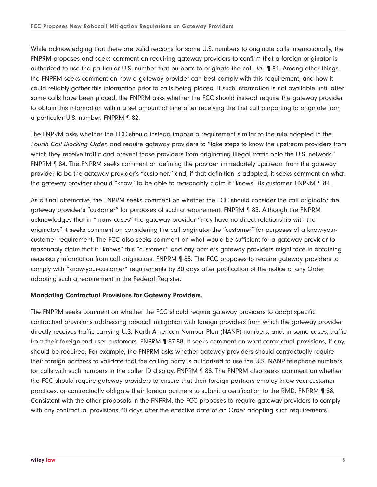While acknowledging that there are valid reasons for some U.S. numbers to originate calls internationally, the FNPRM proposes and seeks comment on requiring gateway providers to confirm that a foreign originator is authorized to use the particular U.S. number that purports to originate the call. Id., ¶ 81. Among other things, the FNPRM seeks comment on how a gateway provider can best comply with this requirement, and how it could reliably gather this information prior to calls being placed. If such information is not available until after some calls have been placed, the FNPRM asks whether the FCC should instead require the gateway provider to obtain this information within a set amount of time after receiving the first call purporting to originate from a particular U.S. number. FNPRM ¶ 82.

The FNPRM asks whether the FCC should instead impose a requirement similar to the rule adopted in the Fourth Call Blocking Order, and require gateway providers to "take steps to know the upstream providers from which they receive traffic and prevent those providers from originating illegal traffic onto the U.S. network." FNPRM ¶ 84. The FNPRM seeks comment on defining the provider immediately upstream from the gateway provider to be the gateway provider's "customer," and, if that definition is adopted, it seeks comment on what the gateway provider should "know" to be able to reasonably claim it "knows" its customer. FNPRM ¶ 84.

As a final alternative, the FNPRM seeks comment on whether the FCC should consider the call originator the gateway provider's "customer" for purposes of such a requirement. FNPRM ¶ 85. Although the FNPRM acknowledges that in "many cases" the gateway provider "may have no direct relationship with the originator," it seeks comment on considering the call originator the "customer" for purposes of a know-yourcustomer requirement. The FCC also seeks comment on what would be sufficient for a gateway provider to reasonably claim that it "knows" this "customer," and any barriers gateway providers might face in obtaining necessary information from call originators. FNPRM ¶ 85. The FCC proposes to require gateway providers to comply with "know-your-customer" requirements by 30 days after publication of the notice of any Order adopting such a requirement in the Federal Register.

## **Mandating Contractual Provisions for Gateway Providers.**

The FNPRM seeks comment on whether the FCC should require gateway providers to adopt specific contractual provisions addressing robocall mitigation with foreign providers from which the gateway provider directly receives traffic carrying U.S. North American Number Plan (NANP) numbers, and, in some cases, traffic from their foreign-end user customers. FNPRM ¶ 87-88. It seeks comment on what contractual provisions, if any, should be required. For example, the FNPRM asks whether gateway providers should contractually require their foreign partners to validate that the calling party is authorized to use the U.S. NANP telephone numbers, for calls with such numbers in the caller ID display. FNPRM 188. The FNPRM also seeks comment on whether the FCC should require gateway providers to ensure that their foreign partners employ know-your-customer practices, or contractually obligate their foreign partners to submit a certification to the RMD. FNPRM ¶ 88. Consistent with the other proposals in the FNPRM, the FCC proposes to require gateway providers to comply with any contractual provisions 30 days after the effective date of an Order adopting such requirements.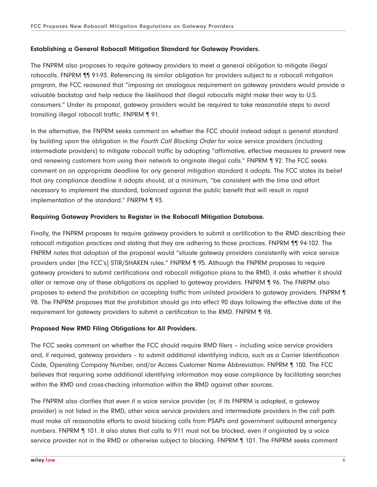## **Establishing a General Robocall Mitigation Standard for Gateway Providers.**

The FNPRM also proposes to require gateway providers to meet a general obligation to mitigate illegal robocalls. FNPRM ¶¶ 91-93. Referencing its similar obligation for providers subject to a robocall mitigation program, the FCC reasoned that "imposing an analogous requirement on gateway providers would provide a valuable backstop and help reduce the likelihood that illegal robocalls might make their way to U.S. consumers." Under its proposal, gateway providers would be required to take reasonable steps to avoid transiting illegal robocall traffic. FNPRM ¶ 91.

In the alternative, the FNPRM seeks comment on whether the FCC should instead adopt a general standard by building upon the obligation in the Fourth Call Blocking Order for voice service providers (including intermediate providers) to mitigate robocall traffic by adopting "affirmative, effective measures to prevent new and renewing customers from using their network to originate illegal calls." FNPRM ¶ 92. The FCC seeks comment on an appropriate deadline for any general mitigation standard it adopts. The FCC states its belief that any compliance deadline it adopts should, at a minimum, "be consistent with the time and effort necessary to implement the standard, balanced against the public benefit that will result in rapid implementation of the standard." FNRPM ¶ 93.

## **Requiring Gateway Providers to Register in the Robocall Mitigation Database.**

Finally, the FNPRM proposes to require gateway providers to submit a certification to the RMD describing their robocall mitigation practices and stating that they are adhering to those practices. FNPRM ¶¶ 94-102. The FNPRM notes that adoption of the proposal would "situate gateway providers consistently with voice service providers under [the FCC's] STIR/SHAKEN rules." FNPRM ¶ 95. Although the FNPRM proposes to require gateway providers to submit certifications and robocall mitigation plans to the RMD, it asks whether it should alter or remove any of these obligations as applied to gateway providers. FNPRM ¶ 96. The FNRPM also proposes to extend the prohibition on accepting traffic from unlisted providers to gateway providers. FNPRM ¶ 98. The FNPRM proposes that the prohibition should go into effect 90 days following the effective date of the requirement for gateway providers to submit a certification to the RMD. FNPRM ¶ 98.

## **Proposed New RMD Filing Obligations for All Providers.**

The FCC seeks comment on whether the FCC should require RMD filers – including voice service providers and, if required, gateway providers – to submit additional identifying indicia, such as a Carrier Identification Code, Operating Company Number, and/or Access Customer Name Abbreviation. FNPRM ¶ 100. The FCC believes that requiring some additional identifying information may ease compliance by facilitating searches within the RMD and cross-checking information within the RMD against other sources.

The FNPRM also clarifies that even if a voice service provider (or, if its FNPRM is adopted, a gateway provider) is not listed in the RMD, other voice service providers and intermediate providers in the call path must make all reasonable efforts to avoid blocking calls from PSAPs and government outbound emergency numbers. FNPRM ¶ 101. It also states that calls to 911 must not be blocked, even if originated by a voice service provider not in the RMD or otherwise subject to blocking. FNPRM ¶ 101. The FNPRM seeks comment